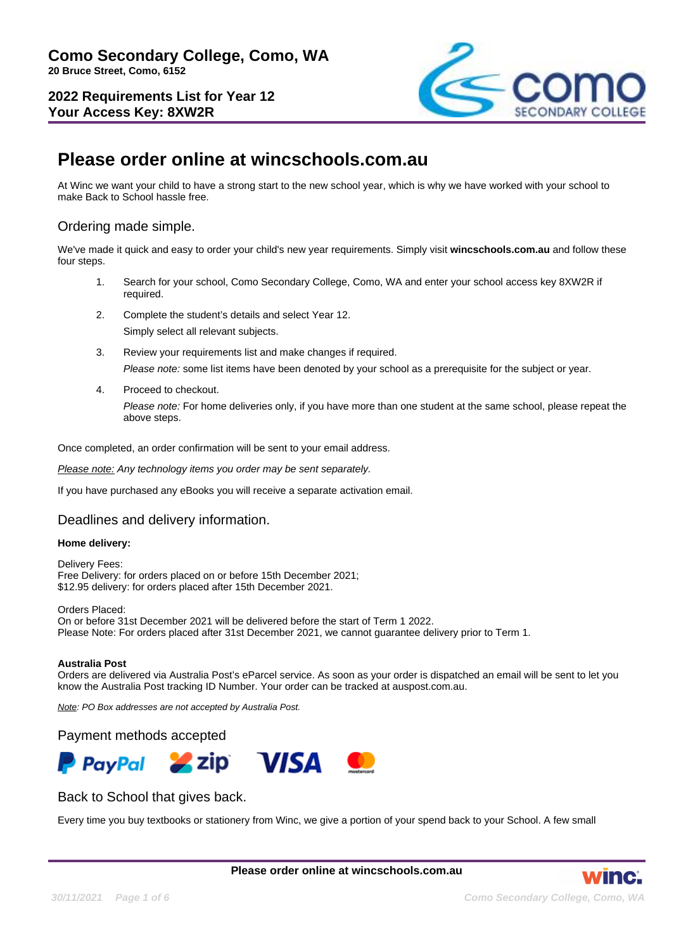

# **Please order online at wincschools.com.au**

At Winc we want your child to have a strong start to the new school year, which is why we have worked with your school to make Back to School hassle free.

## Ordering made simple.

We've made it quick and easy to order your child's new year requirements. Simply visit **wincschools.com.au** and follow these four steps.

- 1. Search for your school, Como Secondary College, Como, WA and enter your school access key 8XW2R if required.
- 2. Complete the student's details and select Year 12. Simply select all relevant subjects.
- 3. Review your requirements list and make changes if required. Please note: some list items have been denoted by your school as a prerequisite for the subject or year.
- 4. Proceed to checkout.

Please note: For home deliveries only, if you have more than one student at the same school, please repeat the above steps.

Once completed, an order confirmation will be sent to your email address.

Please note: Any technology items you order may be sent separately.

If you have purchased any eBooks you will receive a separate activation email.

## Deadlines and delivery information.

#### **Home delivery:**

Delivery Fees: Free Delivery: for orders placed on or before 15th December 2021; \$12.95 delivery: for orders placed after 15th December 2021.

Orders Placed: On or before 31st December 2021 will be delivered before the start of Term 1 2022. Please Note: For orders placed after 31st December 2021, we cannot guarantee delivery prior to Term 1.

#### **Australia Post**

Orders are delivered via Australia Post's eParcel service. As soon as your order is dispatched an email will be sent to let you know the Australia Post tracking ID Number. Your order can be tracked at auspost.com.au.

Note: PO Box addresses are not accepted by Australia Post.

#### Payment methods accepted



## Back to School that gives back.

Every time you buy textbooks or stationery from Winc, we give a portion of your spend back to your School. A few small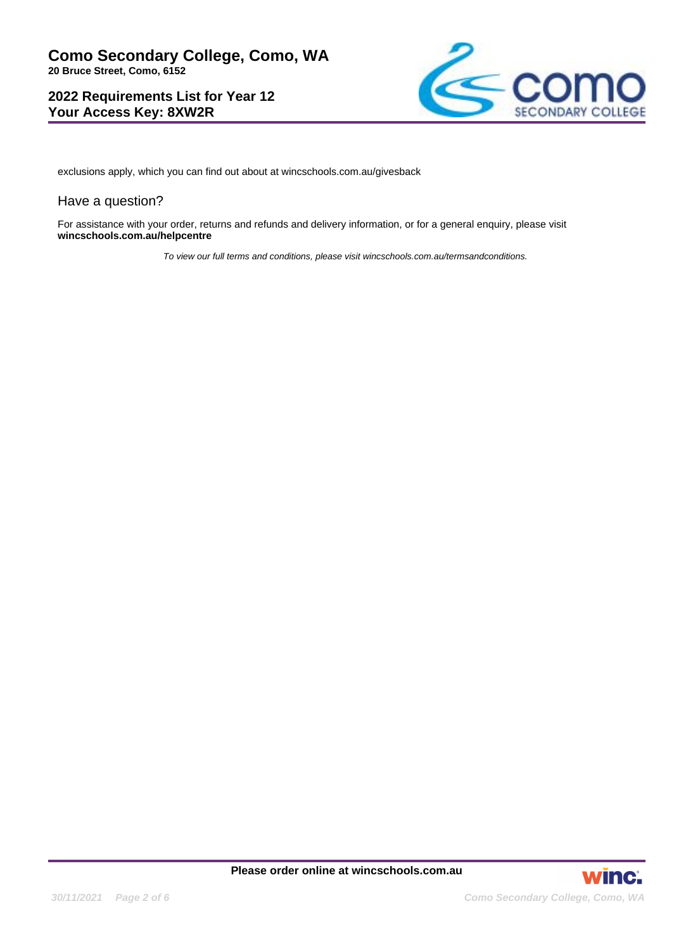

exclusions apply, which you can find out about at wincschools.com.au/givesback

#### Have a question?

For assistance with your order, returns and refunds and delivery information, or for a general enquiry, please visit **wincschools.com.au/helpcentre**

To view our full terms and conditions, please visit wincschools.com.au/termsandconditions.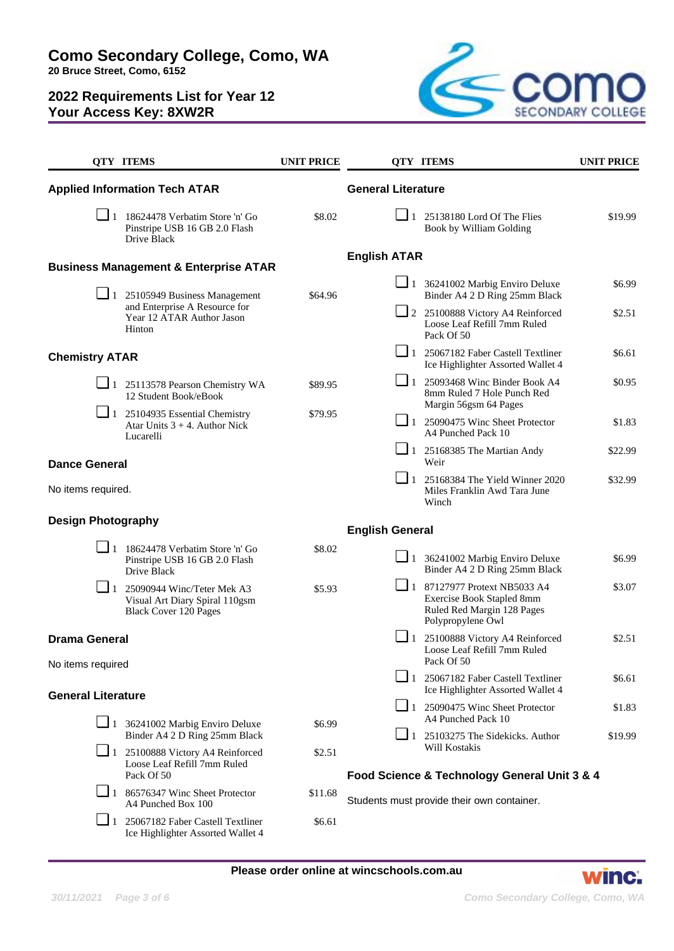

|                                                                     | <b>QTY ITEMS</b>                                                                                                                                                  | <b>UNIT PRICE</b> |                                            | <b>OTY ITEMS</b>                                                                                                    | <b>UNIT PRICE</b> |
|---------------------------------------------------------------------|-------------------------------------------------------------------------------------------------------------------------------------------------------------------|-------------------|--------------------------------------------|---------------------------------------------------------------------------------------------------------------------|-------------------|
|                                                                     | <b>Applied Information Tech ATAR</b>                                                                                                                              |                   | <b>General Literature</b>                  |                                                                                                                     |                   |
|                                                                     | $\boxed{\phantom{0}}$ 1 18624478 Verbatim Store 'n' Go<br>Pinstripe USB 16 GB 2.0 Flash<br>Drive Black                                                            | \$8.02            |                                            | $\Box$ 1 25138180 Lord Of The Flies<br>Book by William Golding                                                      | \$19.99           |
|                                                                     |                                                                                                                                                                   |                   | <b>English ATAR</b>                        |                                                                                                                     |                   |
|                                                                     | <b>Business Management &amp; Enterprise ATAR</b><br>$\Box$ 1 25105949 Business Management<br>and Enterprise A Resource for<br>Year 12 ATAR Author Jason<br>Hinton | \$64.96           |                                            | $\Box$ 1 36241002 Marbig Enviro Deluxe<br>Binder A4 2 D Ring 25mm Black                                             | \$6.99            |
|                                                                     |                                                                                                                                                                   |                   |                                            | 2 25100888 Victory A4 Reinforced<br>Loose Leaf Refill 7mm Ruled<br>Pack Of 50                                       | \$2.51            |
| <b>Chemistry ATAR</b>                                               |                                                                                                                                                                   |                   |                                            | $\Box$ 1 25067182 Faber Castell Textliner<br>Ice Highlighter Assorted Wallet 4                                      | \$6.61            |
|                                                                     | $\Box$ 1 25113578 Pearson Chemistry WA<br>12 Student Book/eBook                                                                                                   | \$89.95           | $\Box$ 1                                   | 25093468 Winc Binder Book A4<br>8mm Ruled 7 Hole Punch Red<br>Margin 56gsm 64 Pages                                 | \$0.95            |
|                                                                     | $\Box$ 1 25104935 Essential Chemistry<br>Atar Units $3 + 4$ . Author Nick<br>Lucarelli                                                                            | \$79.95           | $\Box$ 1                                   | 25090475 Winc Sheet Protector<br>A4 Punched Pack 10                                                                 | \$1.83            |
| <b>Dance General</b>                                                |                                                                                                                                                                   |                   |                                            | $\boxed{\phantom{0}}$ 1 25168385 The Martian Andy<br>Weir                                                           | \$22.99           |
| No items required.                                                  |                                                                                                                                                                   |                   | $\Box$ 1                                   | 25168384 The Yield Winner 2020<br>Miles Franklin Awd Tara June<br>Winch                                             | \$32.99           |
| <b>Design Photography</b>                                           |                                                                                                                                                                   |                   | <b>English General</b>                     |                                                                                                                     |                   |
|                                                                     | $\Box$ 1 18624478 Verbatim Store 'n' Go<br>Pinstripe USB 16 GB 2.0 Flash<br>Drive Black                                                                           | \$8.02            |                                            | $\Box$ 1 36241002 Marbig Enviro Deluxe<br>Binder A4 2 D Ring 25mm Black                                             | \$6.99            |
|                                                                     | $\blacksquare$ 1 25090944 Winc/Teter Mek A3<br>Visual Art Diary Spiral 110gsm<br><b>Black Cover 120 Pages</b>                                                     | \$5.93            |                                            | $\Box$ 1 87127977 Protext NB5033 A4<br>Exercise Book Stapled 8mm<br>Ruled Red Margin 128 Pages<br>Polypropylene Owl | \$3.07            |
| <b>Drama General</b><br>No items required                           |                                                                                                                                                                   |                   |                                            | 1 25100888 Victory A4 Reinforced<br>Loose Leaf Refill 7mm Ruled<br>Pack Of 50                                       | \$2.51            |
|                                                                     |                                                                                                                                                                   |                   |                                            | 1 25067182 Faber Castell Textliner<br>Ice Highlighter Assorted Wallet 4                                             | \$6.61            |
| <b>General Literature</b><br>$\Box$ 1 36241002 Marbig Enviro Deluxe |                                                                                                                                                                   | \$6.99            |                                            | $\Box$ 1 25090475 Winc Sheet Protector<br>A4 Punched Pack 10                                                        | \$1.83            |
|                                                                     | Binder A4 2 D Ring 25mm Black<br>1 25100888 Victory A4 Reinforced                                                                                                 | \$2.51            |                                            | $\Box$ 1 25103275 The Sidekicks. Author<br>Will Kostakis                                                            | \$19.99           |
|                                                                     | Loose Leaf Refill 7mm Ruled<br>Pack Of 50                                                                                                                         |                   |                                            | Food Science & Technology General Unit 3 & 4                                                                        |                   |
|                                                                     | $\boxed{\phantom{0}}$ 1 86576347 Winc Sheet Protector<br>A4 Punched Box 100                                                                                       | \$11.68           | Students must provide their own container. |                                                                                                                     |                   |
|                                                                     | $\boxed{\phantom{1}}$ 1 25067182 Faber Castell Textliner<br>Ice Highlighter Assorted Wallet 4                                                                     | \$6.61            |                                            |                                                                                                                     |                   |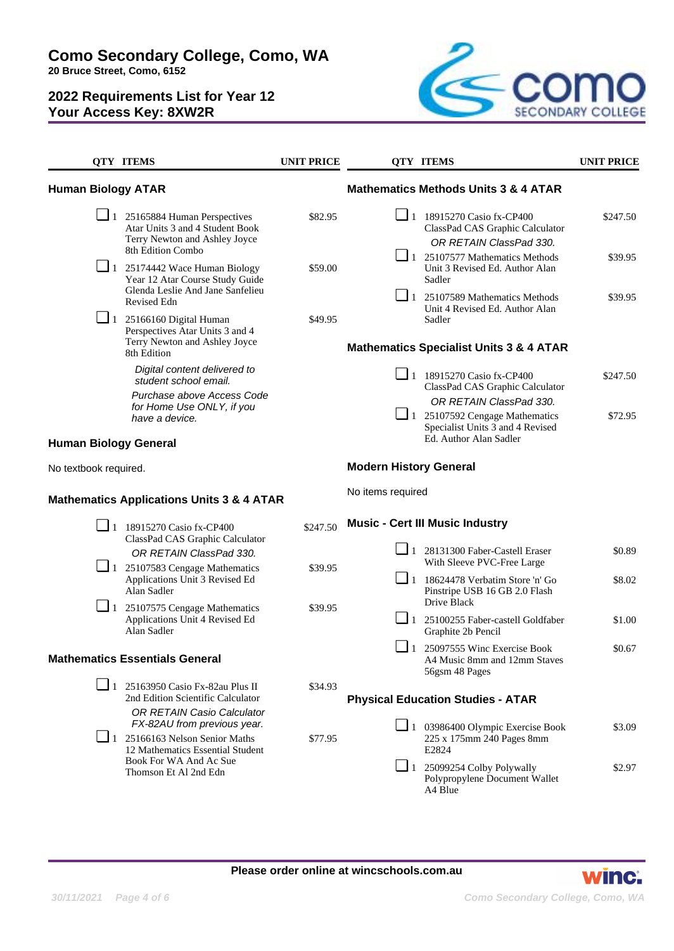**Como Secondary College, Como, WA 20 Bruce Street, Como, 6152**



|                           | <b>QTY ITEMS</b>                                                                                                                              | <b>UNIT PRICE</b>             |                                                    | <b>QTY ITEMS</b>                                                                                       | <b>UNIT PRICE</b> |
|---------------------------|-----------------------------------------------------------------------------------------------------------------------------------------------|-------------------------------|----------------------------------------------------|--------------------------------------------------------------------------------------------------------|-------------------|
| <b>Human Biology ATAR</b> |                                                                                                                                               |                               |                                                    | <b>Mathematics Methods Units 3 &amp; 4 ATAR</b>                                                        |                   |
|                           | $\Box$ 1 25165884 Human Perspectives<br>Atar Units 3 and 4 Student Book<br>Terry Newton and Ashley Joyce<br>8th Edition Combo                 | \$82.95                       |                                                    | 1 18915270 Casio fx-CP400<br>ClassPad CAS Graphic Calculator<br>OR RETAIN ClassPad 330.                | \$247.50          |
|                           | $\Box$ 1 25174442 Wace Human Biology<br>Year 12 Atar Course Study Guide<br>Glenda Leslie And Jane Sanfelieu                                   | \$59.00                       |                                                    | $\boxed{\phantom{0}}$ 1 25107577 Mathematics Methods<br>Unit 3 Revised Ed. Author Alan<br>Sadler       | \$39.95           |
|                           | Revised Edn<br>$\Box$ 1 25166160 Digital Human                                                                                                | \$49.95                       |                                                    | $\Box$ 1 25107589 Mathematics Methods<br>Unit 4 Revised Ed. Author Alan<br>Sadler                      | \$39.95           |
|                           | Perspectives Atar Units 3 and 4<br>Terry Newton and Ashley Joyce<br>8th Edition                                                               |                               | <b>Mathematics Specialist Units 3 &amp; 4 ATAR</b> |                                                                                                        |                   |
|                           | Digital content delivered to<br>student school email.<br>Purchase above Access Code                                                           |                               |                                                    | $\Box$ 1 18915270 Casio fx-CP400<br>ClassPad CAS Graphic Calculator                                    | \$247.50          |
|                           | for Home Use ONLY, if you<br>have a device.                                                                                                   |                               |                                                    | OR RETAIN ClassPad 330.<br>$\Box$ 1 25107592 Cengage Mathematics<br>Specialist Units 3 and 4 Revised   | \$72.95           |
|                           | <b>Human Biology General</b>                                                                                                                  |                               |                                                    | Ed. Author Alan Sadler                                                                                 |                   |
| No textbook required.     |                                                                                                                                               | <b>Modern History General</b> |                                                    |                                                                                                        |                   |
|                           | <b>Mathematics Applications Units 3 &amp; 4 ATAR</b>                                                                                          |                               | No items required                                  |                                                                                                        |                   |
|                           | $\Box$ 1 18915270 Casio fx-CP400<br>ClassPad CAS Graphic Calculator                                                                           | \$247.50                      |                                                    | <b>Music - Cert III Music Industry</b>                                                                 |                   |
|                           | OR RETAIN ClassPad 330.<br>$\Box$ 1 25107583 Cengage Mathematics                                                                              | \$39.95                       | ப                                                  | 1 28131300 Faber-Castell Eraser<br>With Sleeve PVC-Free Large                                          | \$0.89            |
|                           | Applications Unit 3 Revised Ed<br>Alan Sadler                                                                                                 |                               |                                                    | $\boxed{\phantom{1}}$ 1 18624478 Verbatim Store 'n' Go<br>Pinstripe USB 16 GB 2.0 Flash<br>Drive Black | \$8.02            |
| $\Box$ 1                  | 25107575 Cengage Mathematics<br>Applications Unit 4 Revised Ed<br>Alan Sadler                                                                 | \$39.95                       |                                                    | 1 25100255 Faber-castell Goldfaber<br>Graphite 2b Pencil                                               | \$1.00            |
|                           | <b>Mathematics Essentials General</b>                                                                                                         |                               |                                                    | $\Box$ 1 25097555 Winc Exercise Book<br>A4 Music 8mm and 12mm Staves<br>56gsm 48 Pages                 | \$0.67            |
|                           | $\Box$ 1 25163950 Casio Fx-82au Plus II<br>2nd Edition Scientific Calculator                                                                  | \$34.93                       |                                                    | <b>Physical Education Studies - ATAR</b>                                                               |                   |
|                           | <b>OR RETAIN Casio Calculator</b><br>FX-82AU from previous year.<br>$\Box$ 1 25166163 Nelson Senior Maths<br>12 Mathematics Essential Student | \$77.95                       |                                                    | $\Box$ 1 03986400 Olympic Exercise Book<br>225 x 175mm 240 Pages 8mm<br>E2824                          | \$3.09            |
|                           | Book For WA And Ac Sue<br>Thomson Et Al 2nd Edn                                                                                               |                               |                                                    | $\Box$ 1 25099254 Colby Polywally<br>Polypropylene Document Wallet<br>A4 Blue                          | \$2.97            |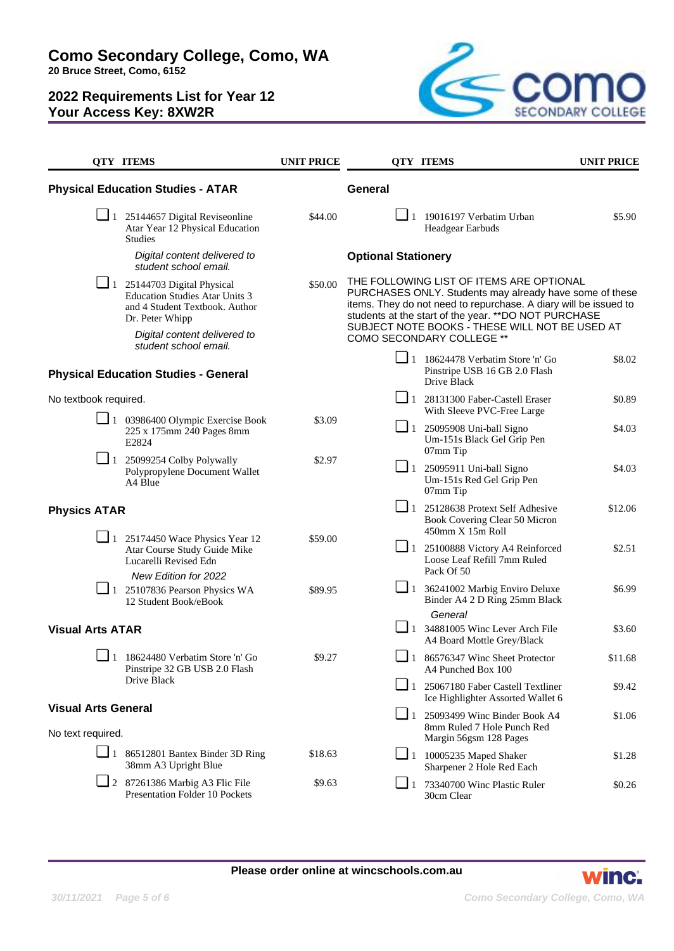**Como Secondary College, Como, WA**

**20 Bruce Street, Como, 6152**



|                                                 | <b>QTY ITEMS</b>                                                                                                                                | <b>UNIT PRICE</b> |                                                                                                                                                                                                                                                                                    | <b>QTY ITEMS</b>                                                                                  | <b>UNIT PRICE</b> |
|-------------------------------------------------|-------------------------------------------------------------------------------------------------------------------------------------------------|-------------------|------------------------------------------------------------------------------------------------------------------------------------------------------------------------------------------------------------------------------------------------------------------------------------|---------------------------------------------------------------------------------------------------|-------------------|
| <b>Physical Education Studies - ATAR</b>        |                                                                                                                                                 |                   | <b>General</b>                                                                                                                                                                                                                                                                     |                                                                                                   |                   |
|                                                 | $\Box$ 1 25144657 Digital Reviseonline<br>Atar Year 12 Physical Education<br><b>Studies</b>                                                     | \$44.00           |                                                                                                                                                                                                                                                                                    | $\blacksquare$ 1 19016197 Verbatim Urban<br>Headgear Earbuds                                      | \$5.90            |
|                                                 | Digital content delivered to<br>student school email.                                                                                           |                   | <b>Optional Stationery</b>                                                                                                                                                                                                                                                         |                                                                                                   |                   |
|                                                 | $\boxed{\phantom{0}}$ 1 25144703 Digital Physical<br><b>Education Studies Atar Units 3</b><br>and 4 Student Textbook. Author<br>Dr. Peter Whipp | \$50.00           | THE FOLLOWING LIST OF ITEMS ARE OPTIONAL<br>PURCHASES ONLY. Students may already have some of these<br>items. They do not need to repurchase. A diary will be issued to<br>students at the start of the year. ** DO NOT PURCHASE<br>SUBJECT NOTE BOOKS - THESE WILL NOT BE USED AT |                                                                                                   |                   |
|                                                 | Digital content delivered to<br>student school email.                                                                                           |                   |                                                                                                                                                                                                                                                                                    | <b>COMO SECONDARY COLLEGE **</b>                                                                  |                   |
| <b>Physical Education Studies - General</b>     |                                                                                                                                                 |                   |                                                                                                                                                                                                                                                                                    | $\Box$ 1 18624478 Verbatim Store 'n' Go<br>Pinstripe USB 16 GB 2.0 Flash<br>Drive Black           | \$8.02            |
| No textbook required.                           |                                                                                                                                                 |                   |                                                                                                                                                                                                                                                                                    | 1 28131300 Faber-Castell Eraser<br>With Sleeve PVC-Free Large                                     | \$0.89            |
|                                                 | $\Box$ 1 03986400 Olympic Exercise Book<br>225 x 175mm 240 Pages 8mm<br>E2824                                                                   | \$3.09            |                                                                                                                                                                                                                                                                                    | $\Box$ 1 25095908 Uni-ball Signo<br>Um-151s Black Gel Grip Pen<br>07mm Tip                        | \$4.03            |
|                                                 | $\Box$ 1 25099254 Colby Polywally<br>Polypropylene Document Wallet<br>A4 Blue                                                                   | \$2.97            |                                                                                                                                                                                                                                                                                    | $\Box$ 1 25095911 Uni-ball Signo<br>Um-151s Red Gel Grip Pen<br>07mm Tip                          | \$4.03            |
| <b>Physics ATAR</b>                             |                                                                                                                                                 |                   |                                                                                                                                                                                                                                                                                    | $\Box$ 1 25128638 Protext Self Adhesive<br>Book Covering Clear 50 Micron<br>$450$ mm $X$ 15m Roll | \$12.06           |
|                                                 | $\Box$ 1 25174450 Wace Physics Year 12<br>Atar Course Study Guide Mike<br>Lucarelli Revised Edn<br>New Edition for 2022                         | \$59.00           |                                                                                                                                                                                                                                                                                    | 1 25100888 Victory A4 Reinforced<br>Loose Leaf Refill 7mm Ruled<br>Pack Of 50                     | \$2.51            |
|                                                 | $\Box$ 1 25107836 Pearson Physics WA<br>12 Student Book/eBook                                                                                   | \$89.95           |                                                                                                                                                                                                                                                                                    | $\Box$ 1 36241002 Marbig Enviro Deluxe<br>Binder A4 2 D Ring 25mm Black<br>General                | \$6.99            |
| <b>Visual Arts ATAR</b>                         |                                                                                                                                                 |                   |                                                                                                                                                                                                                                                                                    | $\Box$ 1 34881005 Winc Lever Arch File<br>A4 Board Mottle Grey/Black                              | \$3.60            |
|                                                 | $\boxed{\phantom{0}}$ 1 18624480 Verbatim Store 'n' Go<br>Pinstripe 32 GB USB 2.0 Flash                                                         | \$9.27            |                                                                                                                                                                                                                                                                                    | $\boxed{\phantom{0}}$ 1 86576347 Winc Sheet Protector<br>A4 Punched Box 100                       | \$11.68           |
|                                                 | Drive Black                                                                                                                                     |                   |                                                                                                                                                                                                                                                                                    | $\Box$ 1 25067180 Faber Castell Textliner<br>Ice Highlighter Assorted Wallet 6                    | \$9.42            |
| <b>Visual Arts General</b><br>No text required. |                                                                                                                                                 |                   | $\Box$ 1                                                                                                                                                                                                                                                                           | 25093499 Winc Binder Book A4<br>8mm Ruled 7 Hole Punch Red<br>Margin 56gsm 128 Pages              | \$1.06            |
|                                                 | $\boxed{\phantom{0}}$ 1 86512801 Bantex Binder 3D Ring<br>38mm A3 Upright Blue                                                                  | \$18.63           |                                                                                                                                                                                                                                                                                    | $\boxed{\phantom{0}}$ 1 10005235 Maped Shaker<br>Sharpener 2 Hole Red Each                        | \$1.28            |
|                                                 | $\Box$ 2 87261386 Marbig A3 Flic File<br><b>Presentation Folder 10 Pockets</b>                                                                  | \$9.63            | $\sqcup$ 1                                                                                                                                                                                                                                                                         | 73340700 Winc Plastic Ruler<br>30cm Clear                                                         | \$0.26            |